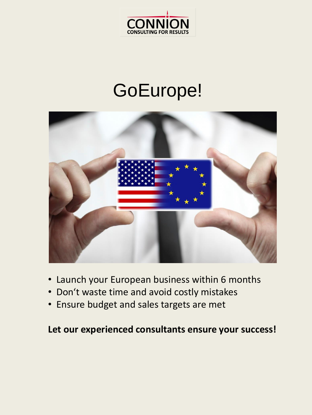

# GoEurope!



- Launch your European business within 6 months
- Don't waste time and avoid costly mistakes
- Ensure budget and sales targets are met

### **Let our experienced consultants ensure your success!**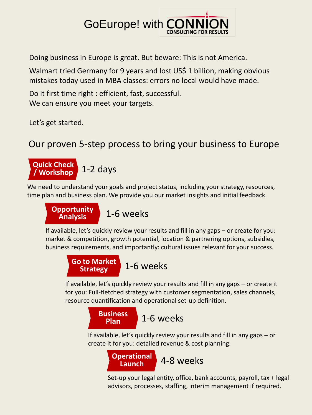# **GoEurope! with CONI**

Doing business in Europe is great. But beware: This is not America.

Walmart tried Germany for 9 years and lost US\$ 1 billion, making obvious mistakes today used in MBA classes: errors no local would have made.

Do it first time right : efficient, fast, successful. We can ensure you meet your targets.

Let's get started.

### Our proven 5-step process to bring your business to Europe



We need to understand your goals and project status, including your strategy, resources, time plan and business plan. We provide you our market insights and initial feedback.



If available, let's quickly review your results and fill in any gaps – or create for you: market & competition, growth potential, location & partnering options, subsidies, business requirements, and importantly: cultural issues relevant for your success.



If available, let's quickly review your results and fill in any gaps – or create it for you: Full-fletched strategy with customer segmentation, sales channels, resource quantification and operational set-up definition.



If available, let's quickly review your results and fill in any gaps – or create it for you: detailed revenue & cost planning.



Set-up your legal entity, office, bank accounts, payroll, tax + legal advisors, processes, staffing, interim management if required.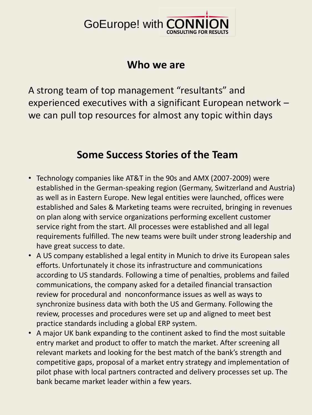# **GoEurope! with CON**

### **Who we are**

A strong team of top management "resultants" and experienced executives with a significant European network – we can pull top resources for almost any topic within days

## **Some Success Stories of the Team**

- Technology companies like AT&T in the 90s and AMX (2007-2009) were established in the German-speaking region (Germany, Switzerland and Austria) as well as in Eastern Europe. New legal entities were launched, offices were established and Sales & Marketing teams were recruited, bringing in revenues on plan along with service organizations performing excellent customer service right from the start. All processes were established and all legal requirements fulfilled. The new teams were built under strong leadership and have great success to date.
- A US company established a legal entity in Munich to drive its European sales efforts. Unfortunately it chose its infrastructure and communications according to US standards. Following a time of penalties, problems and failed communications, the company asked for a detailed financial transaction review for procedural and nonconformance issues as well as ways to synchronize business data with both the US and Germany. Following the review, processes and procedures were set up and aligned to meet best practice standards including a global ERP system.
- A major UK bank expanding to the continent asked to find the most suitable entry market and product to offer to match the market. After screening all relevant markets and looking for the best match of the bank's strength and competitive gaps, proposal of a market entry strategy and implementation of pilot phase with local partners contracted and delivery processes set up. The bank became market leader within a few years.